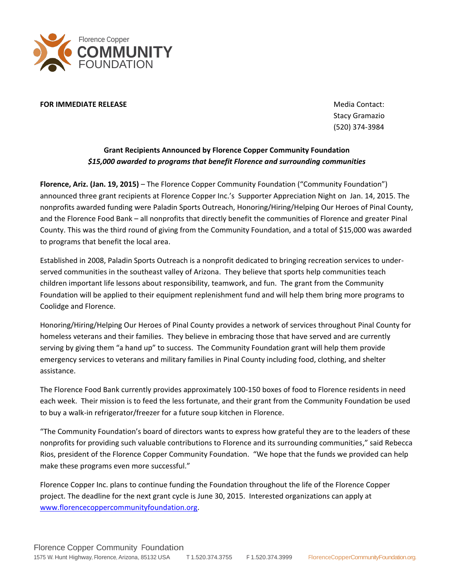

## **FOR IMMEDIATE RELEASE** MEDICAL CONTACT: **MEDIATE RELEASE**

Stacy Gramazio (520) 374-3984

## **Grant Recipients Announced by Florence Copper Community Foundation** *\$15,000 awarded to programs that benefit Florence and surrounding communities*

**Florence, Ariz. (Jan. 19, 2015)** – The Florence Copper Community Foundation ("Community Foundation") announced three grant recipients at Florence Copper Inc.'s Supporter Appreciation Night on Jan. 14, 2015. The nonprofits awarded funding were Paladin Sports Outreach, Honoring/Hiring/Helping Our Heroes of Pinal County, and the Florence Food Bank – all nonprofits that directly benefit the communities of Florence and greater Pinal County. This was the third round of giving from the Community Foundation, and a total of \$15,000 was awarded to programs that benefit the local area.

Established in 2008, Paladin Sports Outreach is a nonprofit dedicated to bringing recreation services to underserved communities in the southeast valley of Arizona. They believe that sports help communities teach children important life lessons about responsibility, teamwork, and fun. The grant from the Community Foundation will be applied to their equipment replenishment fund and will help them bring more programs to Coolidge and Florence.

Honoring/Hiring/Helping Our Heroes of Pinal County provides a network of services throughout Pinal County for homeless veterans and their families. They believe in embracing those that have served and are currently serving by giving them "a hand up" to success. The Community Foundation grant will help them provide emergency services to veterans and military families in Pinal County including food, clothing, and shelter assistance.

The Florence Food Bank currently provides approximately 100-150 boxes of food to Florence residents in need each week. Their mission is to feed the less fortunate, and their grant from the Community Foundation be used to buy a walk-in refrigerator/freezer for a future soup kitchen in Florence.

"The Community Foundation's board of directors wants to express how grateful they are to the leaders of these nonprofits for providing such valuable contributions to Florence and its surrounding communities," said Rebecca Rios, president of the Florence Copper Community Foundation. "We hope that the funds we provided can help make these programs even more successful."

Florence Copper Inc. plans to continue funding the Foundation throughout the life of the Florence Copper project. The deadline for the next grant cycle is June 30, 2015. Interested organizations can apply at [www.florencecoppercommunityfoundation.org.](http://www.florencecoppercommunityfoundation.org/)